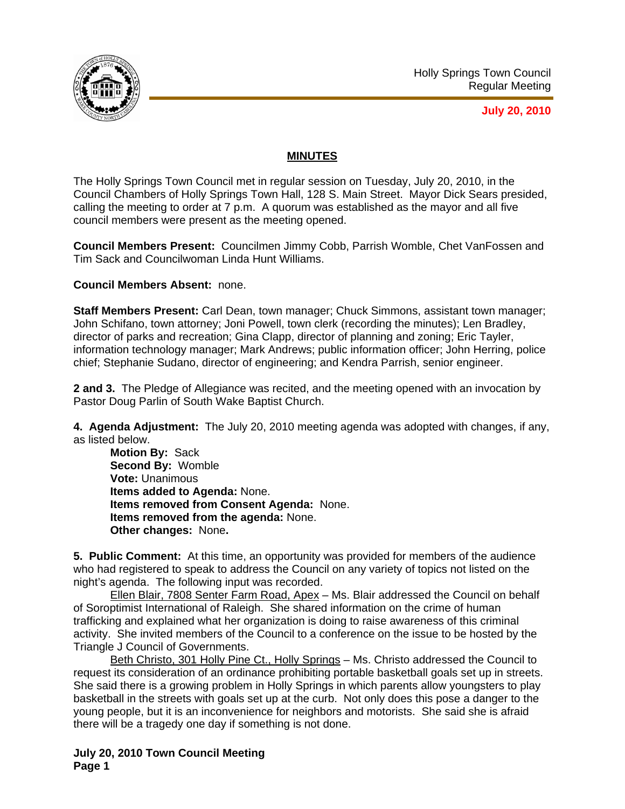

**July 20, 2010**

## **MINUTES**

The Holly Springs Town Council met in regular session on Tuesday, July 20, 2010, in the Council Chambers of Holly Springs Town Hall, 128 S. Main Street. Mayor Dick Sears presided, calling the meeting to order at 7 p.m. A quorum was established as the mayor and all five council members were present as the meeting opened.

**Council Members Present:** Councilmen Jimmy Cobb, Parrish Womble, Chet VanFossen and Tim Sack and Councilwoman Linda Hunt Williams.

**Council Members Absent:** none.

**Staff Members Present:** Carl Dean, town manager; Chuck Simmons, assistant town manager; John Schifano, town attorney; Joni Powell, town clerk (recording the minutes); Len Bradley, director of parks and recreation; Gina Clapp, director of planning and zoning; Eric Tayler, information technology manager; Mark Andrews; public information officer; John Herring, police chief; Stephanie Sudano, director of engineering; and Kendra Parrish, senior engineer.

**2 and 3.** The Pledge of Allegiance was recited, and the meeting opened with an invocation by Pastor Doug Parlin of South Wake Baptist Church.

**4. Agenda Adjustment:** The July 20, 2010 meeting agenda was adopted with changes, if any, as listed below.

**Motion By:** Sack **Second By:** Womble **Vote:** Unanimous **Items added to Agenda:** None. **Items removed from Consent Agenda:** None. **Items removed from the agenda:** None. **Other changes:** None**.** 

**5. Public Comment:** At this time, an opportunity was provided for members of the audience who had registered to speak to address the Council on any variety of topics not listed on the night's agenda. The following input was recorded.

Ellen Blair, 7808 Senter Farm Road, Apex – Ms. Blair addressed the Council on behalf of Soroptimist International of Raleigh. She shared information on the crime of human trafficking and explained what her organization is doing to raise awareness of this criminal activity. She invited members of the Council to a conference on the issue to be hosted by the Triangle J Council of Governments.

Beth Christo, 301 Holly Pine Ct., Holly Springs – Ms. Christo addressed the Council to request its consideration of an ordinance prohibiting portable basketball goals set up in streets. She said there is a growing problem in Holly Springs in which parents allow youngsters to play basketball in the streets with goals set up at the curb. Not only does this pose a danger to the young people, but it is an inconvenience for neighbors and motorists. She said she is afraid there will be a tragedy one day if something is not done.

**July 20, 2010 Town Council Meeting Page 1**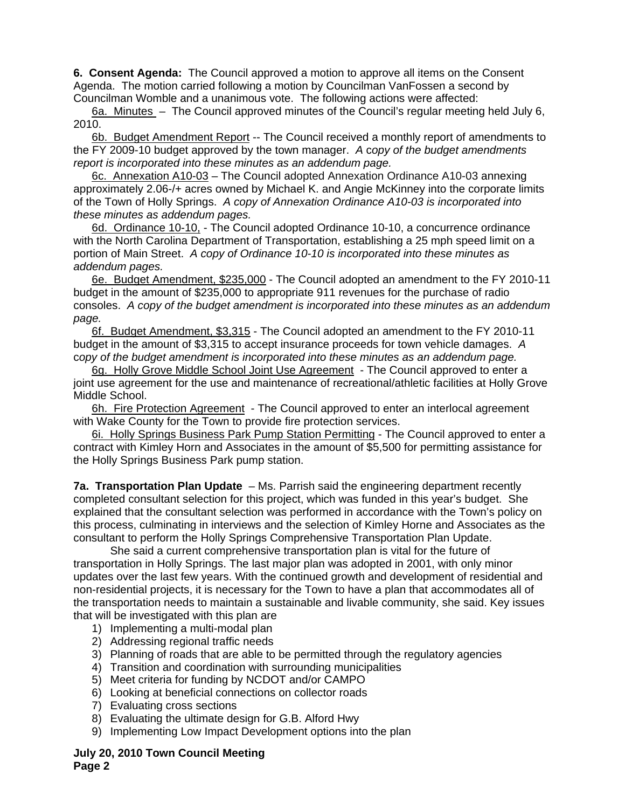**6. Consent Agenda:** The Council approved a motion to approve all items on the Consent Agenda. The motion carried following a motion by Councilman VanFossen a second by Councilman Womble and a unanimous vote. The following actions were affected:

6a. Minutes – The Council approved minutes of the Council's regular meeting held July 6,  $2010.$ 

6b. Budget Amendment Report -- The Council received a monthly report of amendments to the FY 2009-10 budget approved by the town manager.*A* c*opy of the budget amendments report is incorporated into these minutes as an addendum page.*

6c. Annexation A10-03 – The Council adopted Annexation Ordinance A10-03 annexing approximately 2.06-/+ acres owned by Michael K. and Angie McKinney into the corporate limits of the Town of Holly Springs. *A copy of Annexation Ordinance A10-03 is incorporated into these minutes as addendum pages.*

6d. Ordinance 10-10, - The Council adopted Ordinance 10-10, a concurrence ordinance with the North Carolina Department of Transportation, establishing a 25 mph speed limit on a portion of Main Street. *A copy of Ordinance 10-10 is incorporated into these minutes as addendum pages.*

6e. Budget Amendment, \$235,000 - The Council adopted an amendment to the FY 2010-11 budget in the amount of \$235,000 to appropriate 911 revenues for the purchase of radio consoles. *A copy of the budget amendment is incorporated into these minutes as an addendum page.*

6f. Budget Amendment, \$3,315 - The Council adopted an amendment to the FY 2010-11 budget in the amount of \$3,315 to accept insurance proceeds for town vehicle damages. *A*  c*opy of the budget amendment is incorporated into these minutes as an addendum page.*

6q. Holly Grove Middle School Joint Use Agreement - The Council approved to enter a joint use agreement for the use and maintenance of recreational/athletic facilities at Holly Grove Middle School.

6h. Fire Protection Agreement - The Council approved to enter an interlocal agreement with Wake County for the Town to provide fire protection services.

6i. Holly Springs Business Park Pump Station Permitting - The Council approved to enter a contract with Kimley Horn and Associates in the amount of \$5,500 for permitting assistance for the Holly Springs Business Park pump station.

**7a. Transportation Plan Update** – Ms. Parrish said the engineering department recently completed consultant selection for this project, which was funded in this year's budget. She explained that the consultant selection was performed in accordance with the Town's policy on this process, culminating in interviews and the selection of Kimley Horne and Associates as the consultant to perform the Holly Springs Comprehensive Transportation Plan Update.

 She said a current comprehensive transportation plan is vital for the future of transportation in Holly Springs. The last major plan was adopted in 2001, with only minor updates over the last few years. With the continued growth and development of residential and non-residential projects, it is necessary for the Town to have a plan that accommodates all of the transportation needs to maintain a sustainable and livable community, she said. Key issues that will be investigated with this plan are

- 1) Implementing a multi-modal plan
- 2) Addressing regional traffic needs
- 3) Planning of roads that are able to be permitted through the regulatory agencies
- 4) Transition and coordination with surrounding municipalities
- 5) Meet criteria for funding by NCDOT and/or CAMPO
- 6) Looking at beneficial connections on collector roads
- 7) Evaluating cross sections
- 8) Evaluating the ultimate design for G.B. Alford Hwy
- 9) Implementing Low Impact Development options into the plan

**July 20, 2010 Town Council Meeting Page 2**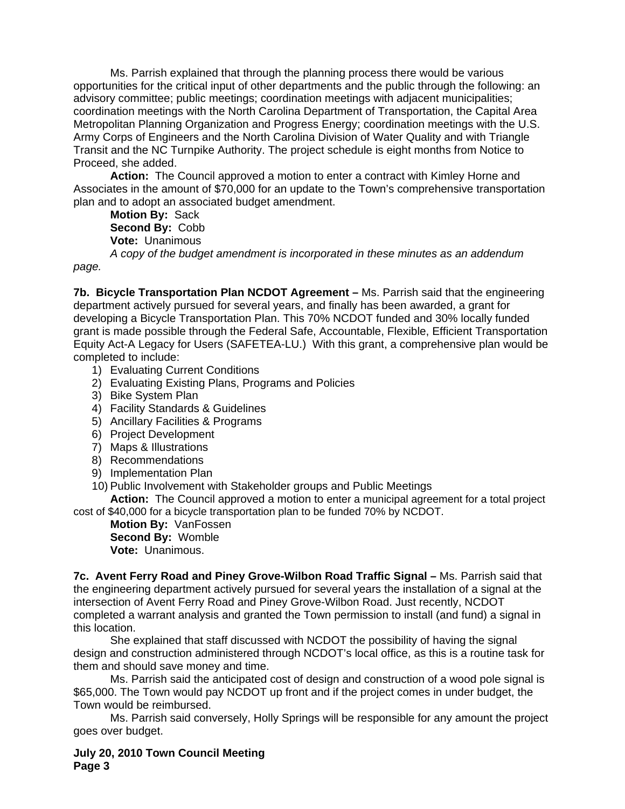Ms. Parrish explained that through the planning process there would be various opportunities for the critical input of other departments and the public through the following: an advisory committee; public meetings; coordination meetings with adjacent municipalities; coordination meetings with the North Carolina Department of Transportation, the Capital Area Metropolitan Planning Organization and Progress Energy; coordination meetings with the U.S. Army Corps of Engineers and the North Carolina Division of Water Quality and with Triangle Transit and the NC Turnpike Authority. The project schedule is eight months from Notice to Proceed, she added.

**Action:** The Council approved a motion to enter a contract with Kimley Horne and Associates in the amount of \$70,000 for an update to the Town's comprehensive transportation plan and to adopt an associated budget amendment.

**Motion By:** Sack **Second By:** Cobb **Vote:** Unanimous *A copy of the budget amendment is incorporated in these minutes as an addendum* 

*page.* 

**7b. Bicycle Transportation Plan NCDOT Agreement –** Ms. Parrish said that the engineering department actively pursued for several years, and finally has been awarded, a grant for developing a Bicycle Transportation Plan. This 70% NCDOT funded and 30% locally funded grant is made possible through the Federal Safe, Accountable, Flexible, Efficient Transportation Equity Act-A Legacy for Users (SAFETEA-LU.) With this grant, a comprehensive plan would be completed to include:

- 1) Evaluating Current Conditions
- 2) Evaluating Existing Plans, Programs and Policies
- 3) Bike System Plan
- 4) Facility Standards & Guidelines
- 5) Ancillary Facilities & Programs
- 6) Project Development
- 7) Maps & Illustrations
- 8) Recommendations
- 9) Implementation Plan
- 10) Public Involvement with Stakeholder groups and Public Meetings

**Action:** The Council approved a motion to enter a municipal agreement for a total project cost of \$40,000 for a bicycle transportation plan to be funded 70% by NCDOT.

**Motion By:** VanFossen **Second By:** Womble **Vote:** Unanimous.

**7c. Avent Ferry Road and Piney Grove-Wilbon Road Traffic Signal –** Ms. Parrish said that the engineering department actively pursued for several years the installation of a signal at the intersection of Avent Ferry Road and Piney Grove-Wilbon Road. Just recently, NCDOT completed a warrant analysis and granted the Town permission to install (and fund) a signal in this location.

She explained that staff discussed with NCDOT the possibility of having the signal design and construction administered through NCDOT's local office, as this is a routine task for them and should save money and time.

 Ms. Parrish said the anticipated cost of design and construction of a wood pole signal is \$65,000. The Town would pay NCDOT up front and if the project comes in under budget, the Town would be reimbursed.

 Ms. Parrish said conversely, Holly Springs will be responsible for any amount the project goes over budget.

**July 20, 2010 Town Council Meeting Page 3**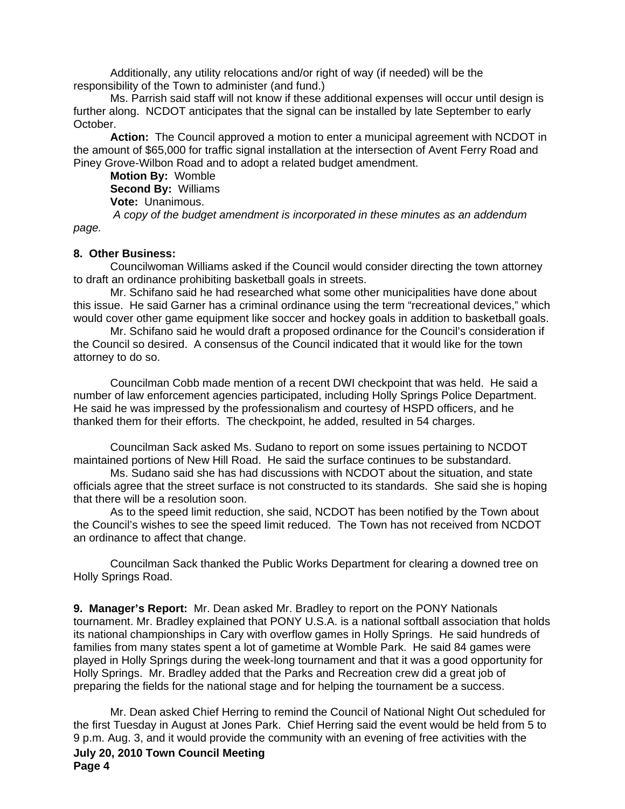Additionally, any utility relocations and/or right of way (if needed) will be the responsibility of the Town to administer (and fund.)

 Ms. Parrish said staff will not know if these additional expenses will occur until design is further along. NCDOT anticipates that the signal can be installed by late September to early October.

**Action:** The Council approved a motion to enter a municipal agreement with NCDOT in the amount of \$65,000 for traffic signal installation at the intersection of Avent Ferry Road and Piney Grove-Wilbon Road and to adopt a related budget amendment.

**Motion By:** Womble **Second By:** Williams **Vote:** Unanimous.

 *A copy of the budget amendment is incorporated in these minutes as an addendum page.* 

## **8. Other Business:**

Councilwoman Williams asked if the Council would consider directing the town attorney to draft an ordinance prohibiting basketball goals in streets.

 Mr. Schifano said he had researched what some other municipalities have done about this issue. He said Garner has a criminal ordinance using the term "recreational devices," which would cover other game equipment like soccer and hockey goals in addition to basketball goals.

 Mr. Schifano said he would draft a proposed ordinance for the Council's consideration if the Council so desired. A consensus of the Council indicated that it would like for the town attorney to do so.

 Councilman Cobb made mention of a recent DWI checkpoint that was held. He said a number of law enforcement agencies participated, including Holly Springs Police Department. He said he was impressed by the professionalism and courtesy of HSPD officers, and he thanked them for their efforts. The checkpoint, he added, resulted in 54 charges.

 Councilman Sack asked Ms. Sudano to report on some issues pertaining to NCDOT maintained portions of New Hill Road. He said the surface continues to be substandard.

Ms. Sudano said she has had discussions with NCDOT about the situation, and state officials agree that the street surface is not constructed to its standards. She said she is hoping that there will be a resolution soon.

As to the speed limit reduction, she said, NCDOT has been notified by the Town about the Council's wishes to see the speed limit reduced. The Town has not received from NCDOT an ordinance to affect that change.

 Councilman Sack thanked the Public Works Department for clearing a downed tree on Holly Springs Road.

**9. Manager's Report:** Mr. Dean asked Mr. Bradley to report on the PONY Nationals tournament. Mr. Bradley explained that PONY U.S.A. is a national softball association that holds its national championships in Cary with overflow games in Holly Springs. He said hundreds of families from many states spent a lot of gametime at Womble Park. He said 84 games were played in Holly Springs during the week-long tournament and that it was a good opportunity for Holly Springs. Mr. Bradley added that the Parks and Recreation crew did a great job of preparing the fields for the national stage and for helping the tournament be a success.

**July 20, 2010 Town Council Meeting Page 4**  Mr. Dean asked Chief Herring to remind the Council of National Night Out scheduled for the first Tuesday in August at Jones Park. Chief Herring said the event would be held from 5 to 9 p.m. Aug. 3, and it would provide the community with an evening of free activities with the